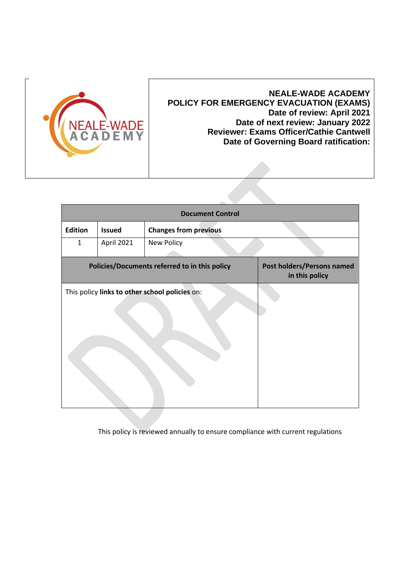

## **NEALE-WADE ACADEMY POLICY FOR EMERGENCY EVACUATION (EXAMS) Date of review: April 2021 Date of next review: January 2022 Reviewer: Exams Officer/Cathie Cantwell Date of Governing Board ratification:**

| <b>Document Control</b>                        |               |                              |                                                     |
|------------------------------------------------|---------------|------------------------------|-----------------------------------------------------|
| <b>Edition</b>                                 | <b>Issued</b> | <b>Changes from previous</b> |                                                     |
| 1                                              | April 2021    | New Policy                   |                                                     |
| Policies/Documents referred to in this policy  |               |                              | <b>Post holders/Persons named</b><br>in this policy |
| This policy links to other school policies on: |               |                              |                                                     |
|                                                |               |                              |                                                     |
|                                                |               |                              |                                                     |
|                                                |               |                              |                                                     |
|                                                |               |                              |                                                     |
|                                                |               |                              |                                                     |
|                                                |               |                              |                                                     |

This policy is reviewed annually to ensure compliance with current regulations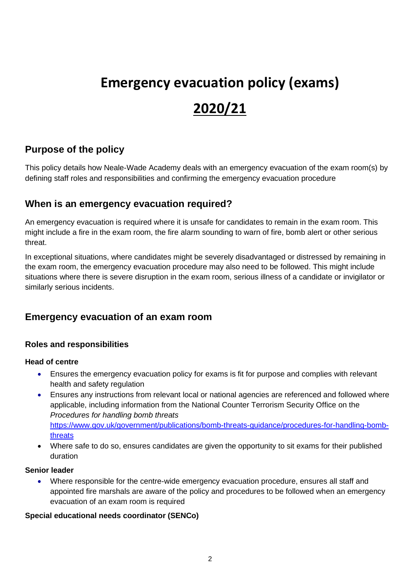# **Emergency evacuation policy (exams) 2020/21**

# **Purpose of the policy**

This policy details how Neale-Wade Academy deals with an emergency evacuation of the exam room(s) by defining staff roles and responsibilities and confirming the emergency evacuation procedure

## **When is an emergency evacuation required?**

An emergency evacuation is required where it is unsafe for candidates to remain in the exam room. This might include a fire in the exam room, the fire alarm sounding to warn of fire, bomb alert or other serious threat.

In exceptional situations, where candidates might be severely disadvantaged or distressed by remaining in the exam room, the emergency evacuation procedure may also need to be followed. This might include situations where there is severe disruption in the exam room, serious illness of a candidate or invigilator or similarly serious incidents.

## **Emergency evacuation of an exam room**

### **Roles and responsibilities**

#### **Head of centre**

- Ensures the emergency evacuation policy for exams is fit for purpose and complies with relevant health and safety regulation
- Ensures any instructions from relevant local or national agencies are referenced and followed where applicable, including information from the National Counter Terrorism Security Office on the *Procedures for handling bomb threats* [https://www.gov.uk/government/publications/bomb-threats-guidance/procedures-for-handling-bomb](https://www.gov.uk/government/publications/bomb-threats-guidance/procedures-for-handling-bomb-threats)[threats](https://www.gov.uk/government/publications/bomb-threats-guidance/procedures-for-handling-bomb-threats)
- Where safe to do so, ensures candidates are given the opportunity to sit exams for their published duration

#### **Senior leader**

• Where responsible for the centre-wide emergency evacuation procedure, ensures all staff and appointed fire marshals are aware of the policy and procedures to be followed when an emergency evacuation of an exam room is required

#### **Special educational needs coordinator (SENCo)**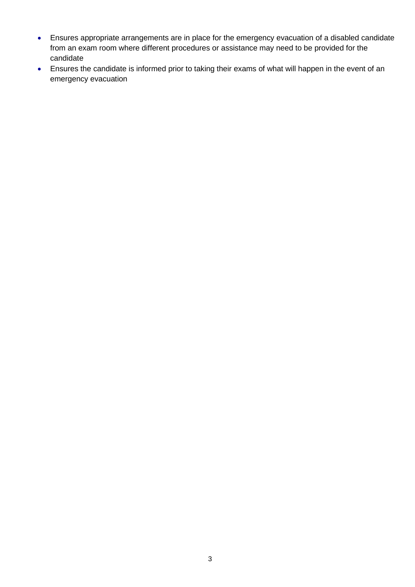- Ensures appropriate arrangements are in place for the emergency evacuation of a disabled candidate from an exam room where different procedures or assistance may need to be provided for the candidate
- Ensures the candidate is informed prior to taking their exams of what will happen in the event of an emergency evacuation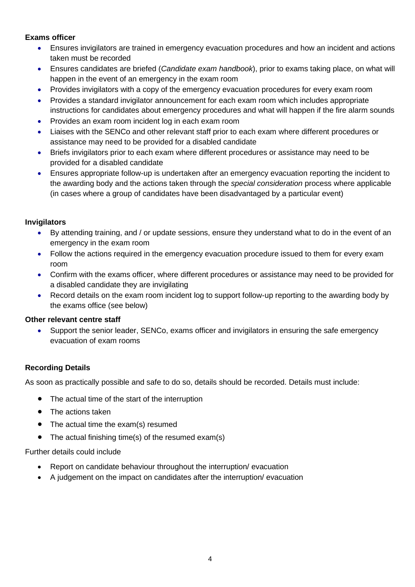#### **Exams officer**

- Ensures invigilators are trained in emergency evacuation procedures and how an incident and actions taken must be recorded
- Ensures candidates are briefed (*Candidate exam handbook*), prior to exams taking place, on what will happen in the event of an emergency in the exam room
- Provides invigilators with a copy of the emergency evacuation procedures for every exam room
- Provides a standard invigilator announcement for each exam room which includes appropriate instructions for candidates about emergency procedures and what will happen if the fire alarm sounds
- Provides an exam room incident log in each exam room
- Liaises with the SENCo and other relevant staff prior to each exam where different procedures or assistance may need to be provided for a disabled candidate
- Briefs invigilators prior to each exam where different procedures or assistance may need to be provided for a disabled candidate
- Ensures appropriate follow-up is undertaken after an emergency evacuation reporting the incident to the awarding body and the actions taken through the *special consideration* process where applicable (in cases where a group of candidates have been disadvantaged by a particular event)

#### **Invigilators**

- By attending training, and / or update sessions, ensure they understand what to do in the event of an emergency in the exam room
- Follow the actions required in the emergency evacuation procedure issued to them for every exam room
- Confirm with the exams officer, where different procedures or assistance may need to be provided for a disabled candidate they are invigilating
- Record details on the exam room incident log to support follow-up reporting to the awarding body by the exams office (see below)

#### **Other relevant centre staff**

• Support the senior leader, SENCo, exams officer and invigilators in ensuring the safe emergency evacuation of exam rooms

#### **Recording Details**

As soon as practically possible and safe to do so, details should be recorded. Details must include:

- The actual time of the start of the interruption
- The actions taken
- The actual time the exam(s) resumed
- The actual finishing time(s) of the resumed exam(s)

Further details could include

- Report on candidate behaviour throughout the interruption/ evacuation
- A judgement on the impact on candidates after the interruption/ evacuation